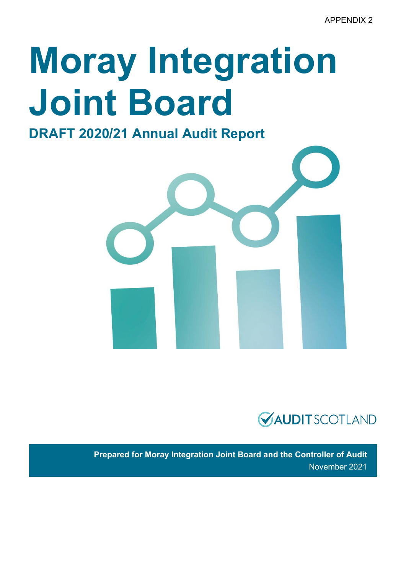# **Moray Integration Joint Board**

**DRAFT 2020/21 Annual Audit Report** 





**Prepared for Moray Integration Joint Board and the Controller of Audit**  November 2021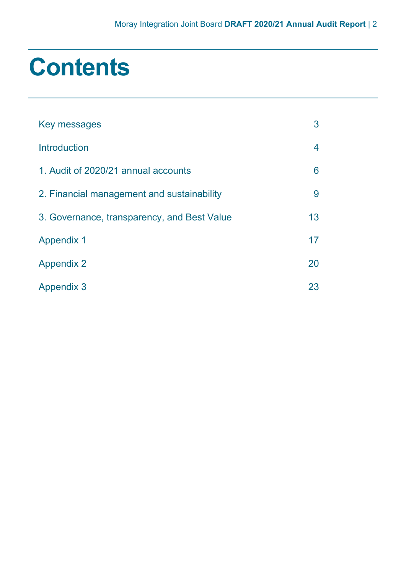### **Contents**

| Key messages                                | 3  |
|---------------------------------------------|----|
| Introduction                                | 4  |
| 1. Audit of 2020/21 annual accounts         | 6  |
| 2. Financial management and sustainability  | 9  |
| 3. Governance, transparency, and Best Value | 13 |
| <b>Appendix 1</b>                           | 17 |
| <b>Appendix 2</b>                           | 20 |
| <b>Appendix 3</b>                           | 23 |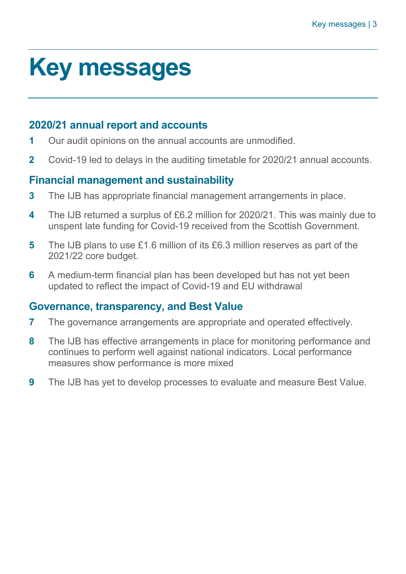### <span id="page-2-0"></span>**Key messages**

#### **2020/21 annual report and accounts**

- **1** Our audit opinions on the annual accounts are unmodified.
- **2** Covid-19 led to delays in the auditing timetable for 2020/21 annual accounts.

#### **Financial management and sustainability**

- **3** The IJB has appropriate financial management arrangements in place.
- **4** The IJB returned a surplus of £6.2 million for 2020/21. This was mainly due to unspent late funding for Covid-19 received from the Scottish Government.
- **5** The IJB plans to use £1.6 million of its £6.3 million reserves as part of the 2021/22 core budget.
- **6** A medium-term financial plan has been developed but has not yet been updated to reflect the impact of Covid-19 and EU withdrawal

#### **Governance, transparency, and Best Value**

- **7** The governance arrangements are appropriate and operated effectively.
- **8** The IJB has effective arrangements in place for monitoring performance and continues to perform well against national indicators. Local performance measures show performance is more mixed
- **9** The IJB has yet to develop processes to evaluate and measure Best Value.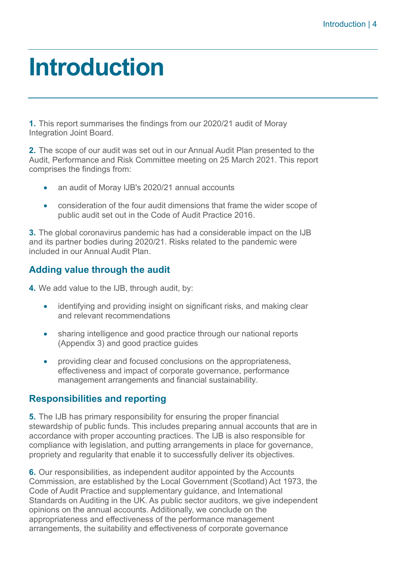### <span id="page-3-0"></span>**Introduction**

**1.** This report summarises the findings from our 2020/21 audit of Moray Integration Joint Board.

**2.** The scope of our audit was set out in our Annual Audit Plan presented to the Audit, Performance and Risk Committee meeting on 25 March 2021. This report comprises the findings from:

- an audit of Moray IJB's 2020/21 annual accounts
- consideration of the four audit dimensions that frame the wider scope of public audit set out in the [Code of Audit Practice 2016.](http://www.audit-scotland.gov.uk/report/code-of-audit-practice-2016)

**3.** The global coronavirus pandemic has had a considerable impact on the IJB and its partner bodies during 2020/21. Risks related to the pandemic were included in our Annual Audit Plan.

#### **Adding value through the audit**

**4.** We add value to the IJB, through audit, by:

- identifying and providing insight on significant risks, and making clear and relevant recommendations
- sharing intelligence and good practice through our national reports [\(Appendix 3\)](#page-22-0) and good practice guides
- providing clear and focused conclusions on the appropriateness, effectiveness and impact of corporate governance, performance management arrangements and financial sustainability.

#### **Responsibilities and reporting**

**5.** The IJB has primary responsibility for ensuring the proper financial stewardship of public funds. This includes preparing annual accounts that are in accordance with proper accounting practices. The IJB is also responsible for compliance with legislation, and putting arrangements in place for governance, propriety and regularity that enable it to successfully deliver its objectives.

**6.** Our responsibilities, as independent auditor appointed by the Accounts Commission, are established by the Local Government (Scotland) Act 1973, the Code of Audit Practice and supplementary guidance, and International Standards on Auditing in the UK. As public sector auditors, we give independent opinions on the annual accounts. Additionally, we conclude on the appropriateness and effectiveness of the performance management arrangements, the suitability and effectiveness of corporate governance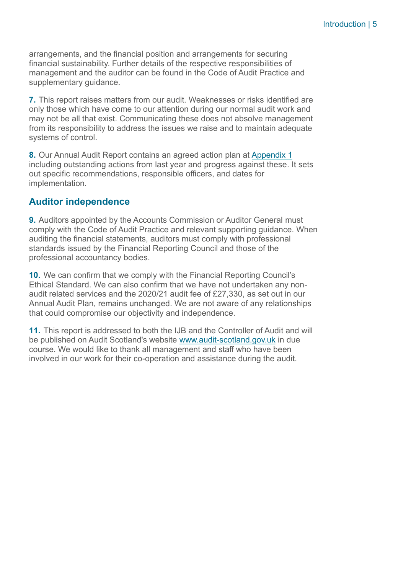arrangements, and the financial position and arrangements for securing financial sustainability. Further details of the respective responsibilities of management and the auditor can be found in the Code of Audit Practice and supplementary guidance.

**7.** This report raises matters from our audit. Weaknesses or risks identified are only those which have come to our attention during our normal audit work and may not be all that exist. Communicating these does not absolve management from its responsibility to address the issues we raise and to maintain adequate systems of control.

**8.** Our Annual Audit Report contains an agreed action plan at [Appendix 1](#page-16-0) including outstanding actions from last year and progress against these. It sets out specific recommendations, responsible officers, and dates for implementation.

#### **Auditor independence**

**9.** Auditors appointed by the Accounts Commission or Auditor General must comply with the Code of Audit Practice and relevant supporting guidance. When auditing the financial statements, auditors must comply with professional standards issued by the Financial Reporting Council and those of the professional accountancy bodies.

**10.** We can confirm that we comply with the Financial Reporting Council's Ethical Standard. We can also confirm that we have not undertaken any nonaudit related services and the 2020/21 audit fee of £27,330, as set out in our Annual Audit Plan, remains unchanged. We are not aware of any relationships that could compromise our objectivity and independence.

**11.** This report is addressed to both the IJB and the Controller of Audit and will be published on Audit Scotland's website [www.audit-scotland.gov.uk](http://www.audit-scotland.gov.uk/) in due course. We would like to thank all management and staff who have been involved in our work for their co-operation and assistance during the audit.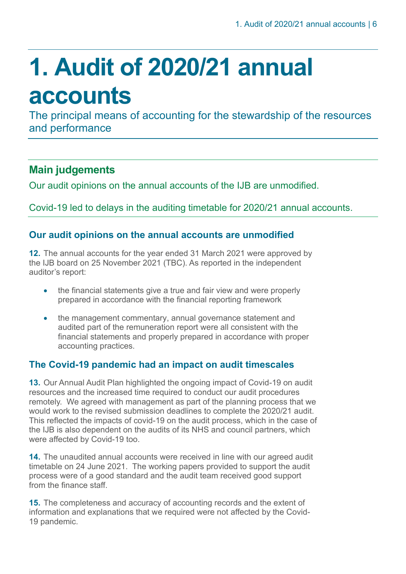## <span id="page-5-0"></span>**1. Audit of 2020/21 annual accounts**

The principal means of accounting for the stewardship of the resources and performance

#### **Main judgements**

Our audit opinions on the annual accounts of the IJB are unmodified.

Covid-19 led to delays in the auditing timetable for 2020/21 annual accounts.

#### **Our audit opinions on the annual accounts are unmodified**

**12.** The annual accounts for the year ended 31 March 2021 were approved by the IJB board on 25 November 2021 (TBC). As reported in the independent auditor's report:

- the financial statements give a true and fair view and were properly prepared in accordance with the financial reporting framework
- the management commentary, annual governance statement and audited part of the remuneration report were all consistent with the financial statements and properly prepared in accordance with proper accounting practices.

#### **The Covid-19 pandemic had an impact on audit timescales**

**13.** Our Annual Audit Plan highlighted the ongoing impact of Covid-19 on audit resources and the increased time required to conduct our audit procedures remotely. We agreed with management as part of the planning process that we would work to the revised submission deadlines to complete the 2020/21 audit. This reflected the impacts of covid-19 on the audit process, which in the case of the IJB is also dependent on the audits of its NHS and council partners, which were affected by Covid-19 too.

**14.** The unaudited annual accounts were received in line with our agreed audit timetable on 24 June 2021. The working papers provided to support the audit process were of a good standard and the audit team received good support from the finance staff.

**15.** The completeness and accuracy of accounting records and the extent of information and explanations that we required were not affected by the Covid-19 pandemic.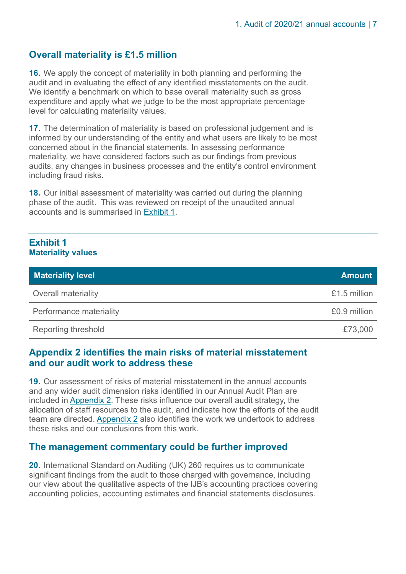#### **Overall materiality is £1.5 million**

**16.** We apply the concept of materiality in both planning and performing the audit and in evaluating the effect of any identified misstatements on the audit. We identify a benchmark on which to base overall materiality such as gross expenditure and apply what we judge to be the most appropriate percentage level for calculating materiality values.

**17.** The determination of materiality is based on professional judgement and is informed by our understanding of the entity and what users are likely to be most concerned about in the financial statements. In assessing performance materiality, we have considered factors such as our findings from previous audits, any changes in business processes and the entity's control environment including fraud risks.

**18.** Our initial assessment of materiality was carried out during the planning phase of the audit. This was reviewed on receipt of the unaudited annual accounts and is summarised in [Exhibit 1.](#page-6-0)

#### <span id="page-6-0"></span>**Exhibit 1 Materiality values**

| <b>Materiality level</b>   | <b>Amount</b> |
|----------------------------|---------------|
| <b>Overall materiality</b> | £1.5 million  |
| Performance materiality    | £0.9 million  |
| Reporting threshold        | £73,000       |

#### **[Appendix 2](#page-19-0) identifies the main risks of material misstatement and our audit work to address these**

**19.** Our assessment of risks of material misstatement in the annual accounts and any wider audit dimension risks identified in our Annual Audit Plan are included in [Appendix 2.](#page-19-0) These risks influence our overall audit strategy, the allocation of staff resources to the audit, and indicate how the efforts of the audit team are directed. [Appendix 2](#page-19-0) also identifies the work we undertook to address these risks and our conclusions from this work.

#### **The management commentary could be further improved**

**20.** International Standard on Auditing (UK) 260 requires us to communicate significant findings from the audit to those charged with governance, including our view about the qualitative aspects of the IJB's accounting practices covering accounting policies, accounting estimates and financial statements disclosures.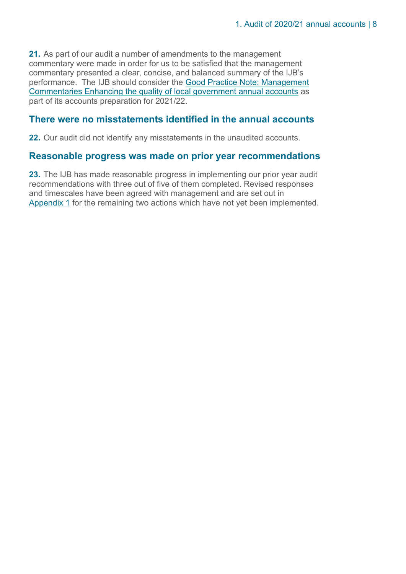**21.** As part of our audit a number of amendments to the management commentary were made in order for us to be satisfied that the management commentary presented a clear, concise, and balanced summary of the IJB's performance. The IJB should consider the [Good Practice Note: Management](https://www.audit-scotland.gov.uk/uploads/docs/um/gp_enhancing_quality_local_government_annual_accounts.pdf)  [Commentaries Enhancing the quality of local government annual accounts](https://www.audit-scotland.gov.uk/uploads/docs/um/gp_enhancing_quality_local_government_annual_accounts.pdf) as [part of its accounts preparation for 2021/22.](https://www.audit-scotland.gov.uk/uploads/docs/um/gp_enhancing_quality_local_government_annual_accounts.pdf)

#### **There were no misstatements identified in the annual accounts**

**22.** Our audit did not identify any misstatements in the unaudited accounts.

#### **Reasonable progress was made on prior year recommendations**

**23.** The IJB has made reasonable progress in implementing our prior year audit recommendations with three out of five of them completed. Revised responses and timescales have been agreed with management and are set out in [Appendix 1](#page-16-0) for the remaining two actions which have not yet been implemented.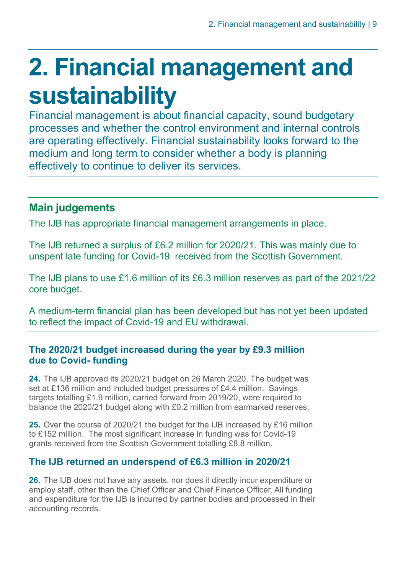## <span id="page-8-0"></span>**2. Financial management and sustainability**

Financial management is about financial capacity, sound budgetary processes and whether the control environment and internal controls are operating effectively. Financial sustainability looks forward to the medium and long term to consider whether a body is planning effectively to continue to deliver its services.

#### **Main judgements**

The IJB has appropriate financial management arrangements in place.

The IJB returned a surplus of £6.2 million for 2020/21. This was mainly due to unspent late funding for Covid-19 received from the Scottish Government.

The IJB plans to use £1.6 million of its £6.3 million reserves as part of the 2021/22 core budget.

A medium-term financial plan has been developed but has not yet been updated to reflect the impact of Covid-19 and EU withdrawal.

#### **The 2020/21 budget increased during the year by £9.3 million due to Covid- funding**

**24.** The IJB approved its 2020/21 budget on 26 March 2020. The budget was set at £136 million and included budget pressures of £4.4 million. Savings targets totalling £1.9 million, carried forward from 2019/20, were required to balance the 2020/21 budget along with £0.2 million from earmarked reserves.

**25.** Over the course of 2020/21 the budget for the IJB increased by £16 million to £152 million. The most significant increase in funding was for Covid-19 grants received from the Scottish Government totalling £8.8 million.

#### **The IJB returned an underspend of £6.3 million in 2020/21**

**26.** The IJB does not have any assets, nor does it directly incur expenditure or employ staff, other than the Chief Officer and Chief Finance Officer. All funding and expenditure for the IJB is incurred by partner bodies and processed in their accounting records.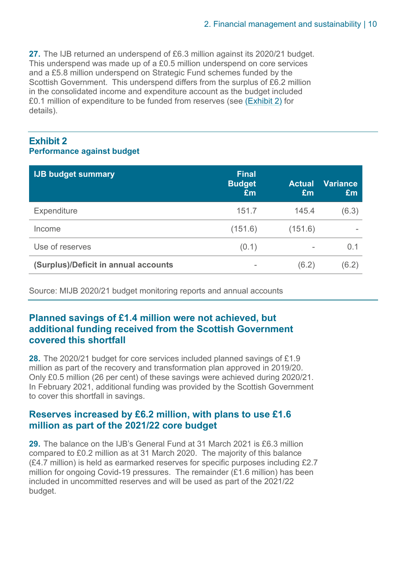**27.** The IJB returned an underspend of £6.3 million against its 2020/21 budget. This underspend was made up of a £0.5 million underspend on core services and a £5.8 million underspend on Strategic Fund schemes funded by the Scottish Government. This underspend differs from the surplus of £6.2 million in the consolidated income and expenditure account as the budget included £0.1 million of expenditure to be funded from reserves (see [\(Exhibit 2\)](#page-9-0) for details).

#### <span id="page-9-0"></span>**Exhibit 2 Performance against budget**

| <b>IJB budget summary</b>            | <b>Final</b><br><b>Budget</b><br>£m | <b>Actual</b><br>Em      | <b>Variance</b><br>Em |
|--------------------------------------|-------------------------------------|--------------------------|-----------------------|
| <b>Expenditure</b>                   | 151.7                               | 145.4                    | (6.3)                 |
| Income                               | (151.6)                             | (151.6)                  |                       |
| Use of reserves                      | (0.1)                               | $\overline{\phantom{0}}$ | 0.1                   |
| (Surplus)/Deficit in annual accounts | $\overline{\phantom{a}}$            | (6.2)                    | (6.2)                 |

Source: MIJB 2020/21 budget monitoring reports and annual accounts

#### **Planned savings of £1.4 million were not achieved, but additional funding received from the Scottish Government covered this shortfall**

**28.** The 2020/21 budget for core services included planned savings of £1.9 million as part of the recovery and transformation plan approved in 2019/20. Only £0.5 million (26 per cent) of these savings were achieved during 2020/21. In February 2021, additional funding was provided by the Scottish Government to cover this shortfall in savings.

#### **Reserves increased by £6.2 million, with plans to use £1.6 million as part of the 2021/22 core budget**

**29.** The balance on the IJB's General Fund at 31 March 2021 is £6.3 million compared to £0.2 million as at 31 March 2020. The majority of this balance (£4.7 million) is held as earmarked reserves for specific purposes including £2.7 million for ongoing Covid-19 pressures. The remainder (£1.6 million) has been included in uncommitted reserves and will be used as part of the 2021/22 budget.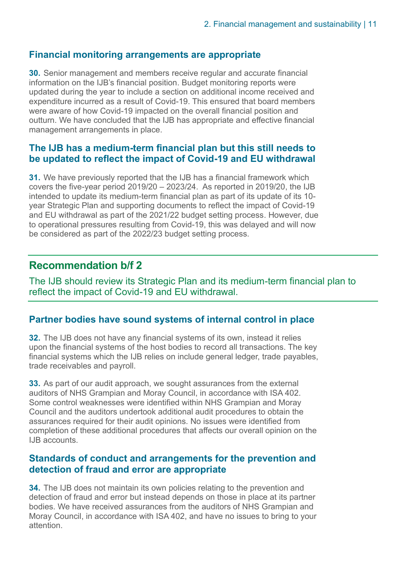#### **Financial monitoring arrangements are appropriate**

**30.** Senior management and members receive regular and accurate financial information on the IJB's financial position. Budget monitoring reports were updated during the year to include a section on additional income received and expenditure incurred as a result of Covid-19. This ensured that board members were aware of how Covid-19 impacted on the overall financial position and outturn. We have concluded that the IJB has appropriate and effective financial management arrangements in place.

#### **The IJB has a medium-term financial plan but this still needs to be updated to reflect the impact of Covid-19 and EU withdrawal**

**31.** We have previously reported that the IJB has a financial framework which covers the five-year period 2019/20 – 2023/24. As reported in 2019/20, the IJB intended to update its medium-term financial plan as part of its update of its 10 year Strategic Plan and supporting documents to reflect the impact of Covid-19 and EU withdrawal as part of the 2021/22 budget setting process. However, due to operational pressures resulting from Covid-19, this was delayed and will now be considered as part of the 2022/23 budget setting process.

#### **Recommendation b/f 2**

The IJB should review its Strategic Plan and its medium-term financial plan to reflect the impact of Covid-19 and EU withdrawal.

#### **Partner bodies have sound systems of internal control in place**

**32.** The IJB does not have any financial systems of its own, instead it relies upon the financial systems of the host bodies to record all transactions. The key financial systems which the IJB relies on include general ledger, trade payables, trade receivables and payroll.

**33.** As part of our audit approach, we sought assurances from the external auditors of NHS Grampian and Moray Council, in accordance with ISA 402. Some control weaknesses were identified within NHS Grampian and Moray Council and the auditors undertook additional audit procedures to obtain the assurances required for their audit opinions. No issues were identified from completion of these additional procedures that affects our overall opinion on the IJB accounts.

#### **Standards of conduct and arrangements for the prevention and detection of fraud and error are appropriate**

**34.** The IJB does not maintain its own policies relating to the prevention and detection of fraud and error but instead depends on those in place at its partner bodies. We have received assurances from the auditors of NHS Grampian and Moray Council, in accordance with ISA 402, and have no issues to bring to your attention.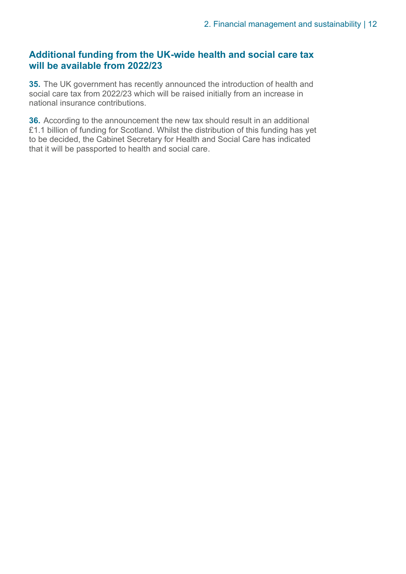#### **Additional funding from the UK-wide health and social care tax will be available from 2022/23**

**35.** The UK government has recently announced the introduction of health and social care tax from 2022/23 which will be raised initially from an increase in national insurance contributions.

**36.** According to the announcement the new tax should result in an additional £1.1 billion of funding for Scotland. Whilst the distribution of this funding has yet to be decided, the Cabinet Secretary for Health and Social Care has indicated that it will be passported to health and social care.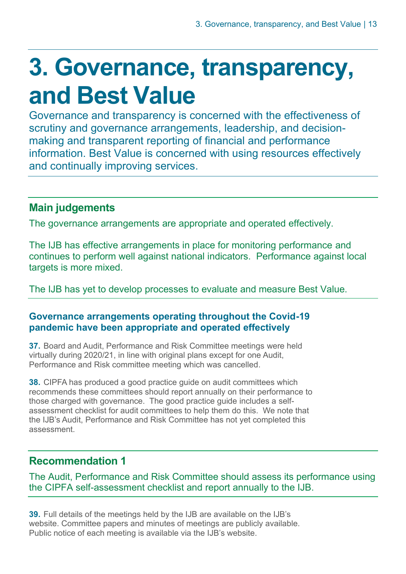### <span id="page-12-0"></span>**3. Governance, transparency, and Best Value**

Governance and transparency is concerned with the effectiveness of scrutiny and governance arrangements, leadership, and decisionmaking and transparent reporting of financial and performance information. Best Value is concerned with using resources effectively and continually improving services.

#### **Main judgements**

The governance arrangements are appropriate and operated effectively.

The IJB has effective arrangements in place for monitoring performance and continues to perform well against national indicators. Performance against local targets is more mixed.

The IJB has yet to develop processes to evaluate and measure Best Value.

#### **Governance arrangements operating throughout the Covid-19 pandemic have been appropriate and operated effectively**

**37.** Board and Audit, Performance and Risk Committee meetings were held virtually during 2020/21, in line with original plans except for one Audit, Performance and Risk committee meeting which was cancelled.

**38.** CIPFA has produced a good practice guide on audit committees which recommends these committees should report annually on their performance to those charged with governance. The good practice guide includes a selfassessment checklist for audit committees to help them do this. We note that the IJB's Audit, Performance and Risk Committee has not yet completed this assessment.

#### **Recommendation 1**

The Audit, Performance and Risk Committee should assess its performance using the CIPFA self-assessment checklist and report annually to the IJB.

**39.** Full details of the meetings held by the IJB are available on the IJB's website. Committee papers and minutes of meetings are publicly available. Public notice of each meeting is available via the IJB's website.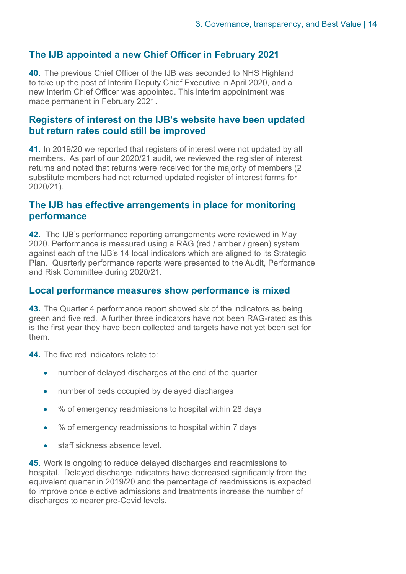#### **The IJB appointed a new Chief Officer in February 2021**

**40.** The previous Chief Officer of the IJB was seconded to NHS Highland to take up the post of Interim Deputy Chief Executive in April 2020, and a new Interim Chief Officer was appointed. This interim appointment was made permanent in February 2021.

#### **Registers of interest on the IJB's website have been updated but return rates could still be improved**

**41.** In 2019/20 we reported that registers of interest were not updated by all members. As part of our 2020/21 audit, we reviewed the register of interest returns and noted that returns were received for the majority of members (2 substitute members had not returned updated register of interest forms for 2020/21).

#### **The IJB has effective arrangements in place for monitoring performance**

**42.** The IJB's performance reporting arrangements were reviewed in May 2020. Performance is measured using a RAG (red / amber / green) system against each of the IJB's 14 local indicators which are aligned to its Strategic Plan. Quarterly performance reports were presented to the Audit, Performance and Risk Committee during 2020/21.

#### **Local performance measures show performance is mixed**

**43.** The Quarter 4 performance report showed six of the indicators as being green and five red. A further three indicators have not been RAG-rated as this is the first year they have been collected and targets have not yet been set for them.

**44.** The five red indicators relate to:

- number of delayed discharges at the end of the quarter
- number of beds occupied by delayed discharges
- % of emergency readmissions to hospital within 28 days
- % of emergency readmissions to hospital within 7 days
- staff sickness absence level.

**45.** Work is ongoing to reduce delayed discharges and readmissions to hospital. Delayed discharge indicators have decreased significantly from the equivalent quarter in 2019/20 and the percentage of readmissions is expected to improve once elective admissions and treatments increase the number of discharges to nearer pre-Covid levels.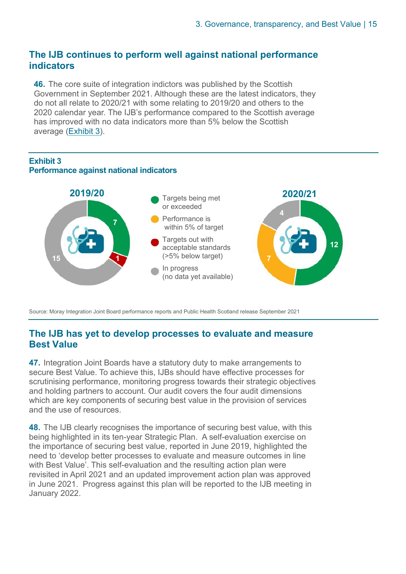#### **The IJB continues to perform well against national performance indicators**

**46.** The core suite of integration indictors was published by the Scottish Government in September 2021. Although these are the latest indicators, they do not all relate to 2020/21 with some relating to 2019/20 and others to the 2020 calendar year. The IJB's performance compared to the Scottish average has improved with no data indicators more than 5% below the Scottish average [\(Exhibit](#page-14-0) 3).

#### <span id="page-14-0"></span>**Exhibit 3 Performance against national indicators**



Source: Moray Integration Joint Board performance reports and Public Health Scotland release September 2021

#### **The IJB has yet to develop processes to evaluate and measure Best Value**

**47.** Integration Joint Boards have a statutory duty to make arrangements to secure Best Value. To achieve this, IJBs should have effective processes for scrutinising performance, monitoring progress towards their strategic objectives and holding partners to account. Our audit covers the four audit dimensions which are key components of securing best value in the provision of services and the use of resources.

**48.** The IJB clearly recognises the importance of securing best value, with this being highlighted in its ten-year Strategic Plan. A self-evaluation exercise on the importance of securing best value, reported in June 2019, highlighted the need to 'develop better processes to evaluate and measure outcomes in line with Best Value'. This self-evaluation and the resulting action plan were revisited in April 2021 and an updated improvement action plan was approved in June 2021. Progress against this plan will be reported to the IJB meeting in January 2022.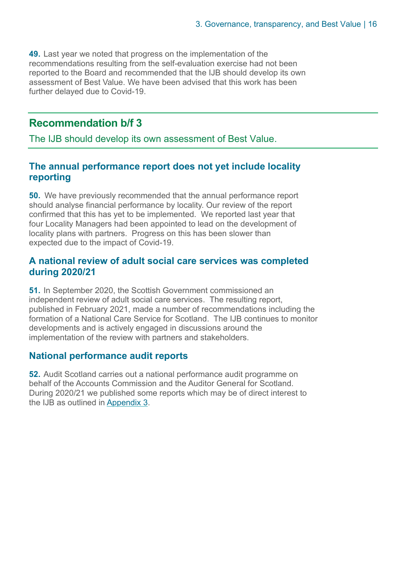**49.** Last year we noted that progress on the implementation of the recommendations resulting from the self-evaluation exercise had not been reported to the Board and recommended that the IJB should develop its own assessment of Best Value. We have been advised that this work has been further delayed due to Covid-19.

#### **Recommendation b/f 3**

The IJB should develop its own assessment of Best Value.

#### **The annual performance report does not yet include locality reporting**

**50.** We have previously recommended that the annual performance report should analyse financial performance by locality. Our review of the report confirmed that this has yet to be implemented. We reported last year that four Locality Managers had been appointed to lead on the development of locality plans with partners. Progress on this has been slower than expected due to the impact of Covid-19.

#### **A national review of adult social care services was completed during 2020/21**

**51.** In September 2020, the Scottish Government commissioned an independent review of adult social care services. The resulting report, published in February 2021, made a number of recommendations including the formation of a National Care Service for Scotland. The IJB continues to monitor developments and is actively engaged in discussions around the implementation of the review with partners and stakeholders.

#### **National performance audit reports**

**52.** Audit Scotland carries out a national performance audit programme on behalf of the Accounts Commission and the Auditor General for Scotland. During 2020/21 we published some reports which may be of direct interest to the IJB as outlined in [Appendix 3](#page-22-0).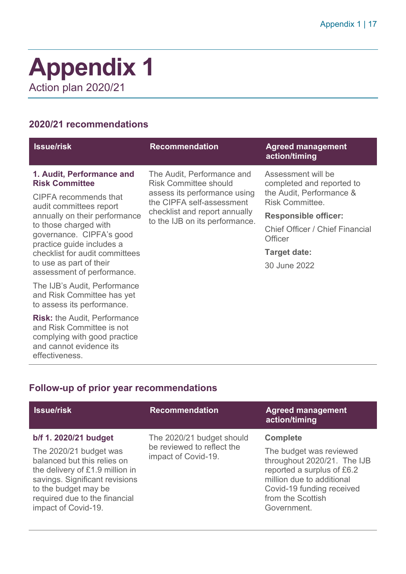### <span id="page-16-0"></span>**Appendix 1**  Action plan 2020/21

#### **2020/21 recommendations**

| <b>Issue/risk</b>                                                              | <b>Recommendation</b>                                                                                                                                                                      | <b>Agreed management</b><br>action/timing                |  |
|--------------------------------------------------------------------------------|--------------------------------------------------------------------------------------------------------------------------------------------------------------------------------------------|----------------------------------------------------------|--|
| 1. Audit, Performance and<br><b>Risk Committee</b>                             | The Audit, Performance and<br><b>Risk Committee should</b><br>assess its performance using<br>the CIPFA self-assessment<br>checklist and report annually<br>to the IJB on its performance. | Assessment will be<br>completed and reported to          |  |
| CIPFA recommends that<br>audit committees report                               |                                                                                                                                                                                            | the Audit, Performance &<br><b>Risk Committee.</b>       |  |
| annually on their performance                                                  |                                                                                                                                                                                            | <b>Responsible officer:</b>                              |  |
| to those charged with<br>governance. CIPFA's good<br>practice guide includes a |                                                                                                                                                                                            | <b>Chief Officer / Chief Financial</b><br><b>Officer</b> |  |
| checklist for audit committees                                                 |                                                                                                                                                                                            | <b>Target date:</b>                                      |  |
| to use as part of their<br>assessment of performance.                          |                                                                                                                                                                                            | 30 June 2022                                             |  |
| The IJB's Audit, Performance                                                   |                                                                                                                                                                                            |                                                          |  |

and Risk Committee has yet to assess its performance. **Risk:** the Audit, Performance

and Risk Committee is not complying with good practice and cannot evidence its effectiveness.

### **Follow-up of prior year recommendations**

| <b>Issue/risk</b>                                                                                                                                                                                                                   | <b>Recommendation</b>                                                          | <b>Agreed management</b><br>action/timing                                                                                                                                                             |
|-------------------------------------------------------------------------------------------------------------------------------------------------------------------------------------------------------------------------------------|--------------------------------------------------------------------------------|-------------------------------------------------------------------------------------------------------------------------------------------------------------------------------------------------------|
| b/f 1. 2020/21 budget<br>The 2020/21 budget was<br>balanced but this relies on<br>the delivery of £1.9 million in<br>savings. Significant revisions<br>to the budget may be<br>required due to the financial<br>impact of Covid-19. | The 2020/21 budget should<br>be reviewed to reflect the<br>impact of Covid-19. | <b>Complete</b><br>The budget was reviewed<br>throughout 2020/21. The IJB<br>reported a surplus of £6.2<br>million due to additional<br>Covid-19 funding received<br>from the Scottish<br>Government. |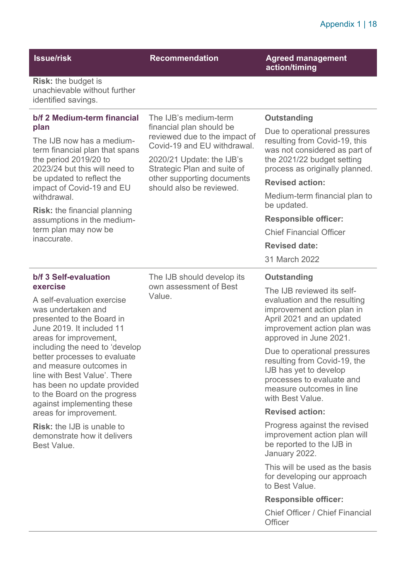**Issue/risk Recommendation Agreed management action/timing** 

**Risk:** the budget is unachievable without further identified savings.

| b/f 2 Medium-term financial<br>plan<br>The IJB now has a medium-<br>term financial plan that spans<br>the period 2019/20 to<br>2023/24 but this will need to<br>be updated to reflect the                                                                                                                    | The IJB's medium-term<br>financial plan should be<br>reviewed due to the impact of<br>Covid-19 and EU withdrawal.<br>2020/21 Update: the IJB's<br>Strategic Plan and suite of<br>other supporting documents<br>should also be reviewed. | <b>Outstanding</b>                                                                                                                                                                                                                                                                                                                |
|--------------------------------------------------------------------------------------------------------------------------------------------------------------------------------------------------------------------------------------------------------------------------------------------------------------|-----------------------------------------------------------------------------------------------------------------------------------------------------------------------------------------------------------------------------------------|-----------------------------------------------------------------------------------------------------------------------------------------------------------------------------------------------------------------------------------------------------------------------------------------------------------------------------------|
|                                                                                                                                                                                                                                                                                                              |                                                                                                                                                                                                                                         | Due to operational pressures<br>resulting from Covid-19, this<br>was not considered as part of<br>the 2021/22 budget setting<br>process as originally planned.                                                                                                                                                                    |
| impact of Covid-19 and EU                                                                                                                                                                                                                                                                                    |                                                                                                                                                                                                                                         | <b>Revised action:</b>                                                                                                                                                                                                                                                                                                            |
| withdrawal.                                                                                                                                                                                                                                                                                                  |                                                                                                                                                                                                                                         | Medium-term financial plan to<br>be updated.                                                                                                                                                                                                                                                                                      |
| <b>Risk:</b> the financial planning<br>assumptions in the medium-                                                                                                                                                                                                                                            |                                                                                                                                                                                                                                         | <b>Responsible officer:</b>                                                                                                                                                                                                                                                                                                       |
| term plan may now be<br>inaccurate.                                                                                                                                                                                                                                                                          |                                                                                                                                                                                                                                         | <b>Chief Financial Officer</b>                                                                                                                                                                                                                                                                                                    |
|                                                                                                                                                                                                                                                                                                              |                                                                                                                                                                                                                                         | <b>Revised date:</b>                                                                                                                                                                                                                                                                                                              |
|                                                                                                                                                                                                                                                                                                              |                                                                                                                                                                                                                                         | 31 March 2022                                                                                                                                                                                                                                                                                                                     |
| b/f 3 Self-evaluation                                                                                                                                                                                                                                                                                        | The IJB should develop its                                                                                                                                                                                                              | <b>Outstanding</b>                                                                                                                                                                                                                                                                                                                |
| exercise<br>A self-evaluation exercise<br>was undertaken and<br>presented to the Board in<br>June 2019. It included 11<br>areas for improvement,<br>including the need to 'develop<br>better processes to evaluate<br>and measure outcomes in<br>line with Best Value'. There<br>has been no update provided | own assessment of Best<br>Value.                                                                                                                                                                                                        | The IJB reviewed its self-<br>evaluation and the resulting<br>improvement action plan in<br>April 2021 and an updated<br>improvement action plan was<br>approved in June 2021.<br>Due to operational pressures<br>resulting from Covid-19, the<br>IJB has yet to develop<br>processes to evaluate and<br>measure outcomes in line |
| to the Board on the progress<br>against implementing these                                                                                                                                                                                                                                                   |                                                                                                                                                                                                                                         | with Best Value.                                                                                                                                                                                                                                                                                                                  |
| areas for improvement.                                                                                                                                                                                                                                                                                       |                                                                                                                                                                                                                                         | <b>Revised action:</b>                                                                                                                                                                                                                                                                                                            |
| <b>Risk:</b> the IJB is unable to<br>demonstrate how it delivers<br>Best Value.                                                                                                                                                                                                                              |                                                                                                                                                                                                                                         | Progress against the revised<br>improvement action plan will<br>be reported to the IJB in<br>January 2022.                                                                                                                                                                                                                        |
|                                                                                                                                                                                                                                                                                                              |                                                                                                                                                                                                                                         | This will be used as the basis<br>for developing our approach<br>to Best Value.                                                                                                                                                                                                                                                   |
|                                                                                                                                                                                                                                                                                                              |                                                                                                                                                                                                                                         | <b>Responsible officer:</b>                                                                                                                                                                                                                                                                                                       |

Chief Officer / Chief Financial **Officer**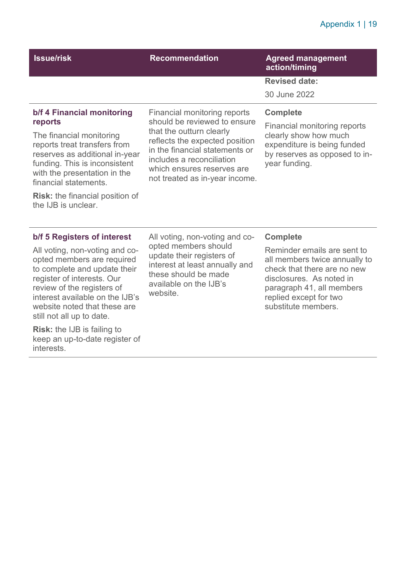#### Appendix 1 | 19

| <b>Issue/risk</b>                                                                                                                                                                                                                                                                              | <b>Recommendation</b>                                                                                                                                                                                                                                     | <b>Agreed management</b><br>action/timing                                                                                                                                                             |
|------------------------------------------------------------------------------------------------------------------------------------------------------------------------------------------------------------------------------------------------------------------------------------------------|-----------------------------------------------------------------------------------------------------------------------------------------------------------------------------------------------------------------------------------------------------------|-------------------------------------------------------------------------------------------------------------------------------------------------------------------------------------------------------|
|                                                                                                                                                                                                                                                                                                |                                                                                                                                                                                                                                                           | <b>Revised date:</b>                                                                                                                                                                                  |
|                                                                                                                                                                                                                                                                                                |                                                                                                                                                                                                                                                           | 30 June 2022                                                                                                                                                                                          |
| b/f 4 Financial monitoring<br>reports<br>The financial monitoring<br>reports treat transfers from<br>reserves as additional in-year<br>funding. This is inconsistent<br>with the presentation in the<br>financial statements.<br><b>Risk:</b> the financial position of<br>the IJB is unclear. | Financial monitoring reports<br>should be reviewed to ensure<br>that the outturn clearly<br>reflects the expected position<br>in the financial statements or<br>includes a reconciliation<br>which ensures reserves are<br>not treated as in-year income. | <b>Complete</b><br>Financial monitoring reports<br>clearly show how much<br>expenditure is being funded<br>by reserves as opposed to in-<br>year funding.                                             |
| b/f 5 Registers of interest                                                                                                                                                                                                                                                                    | All voting, non-voting and co-<br>opted members should<br>update their registers of<br>interest at least annually and<br>these should be made<br>available on the IJB's<br>website.                                                                       | <b>Complete</b>                                                                                                                                                                                       |
| All voting, non-voting and co-<br>opted members are required<br>to complete and update their<br>register of interests. Our<br>review of the registers of<br>interest available on the IJB's<br>website noted that these are<br>still not all up to date.                                       |                                                                                                                                                                                                                                                           | Reminder emails are sent to<br>all members twice annually to<br>check that there are no new<br>disclosures. As noted in<br>paragraph 41, all members<br>replied except for two<br>substitute members. |
| <b>Risk:</b> the IJB is failing to                                                                                                                                                                                                                                                             |                                                                                                                                                                                                                                                           |                                                                                                                                                                                                       |

keep an up-to-date register of

interests.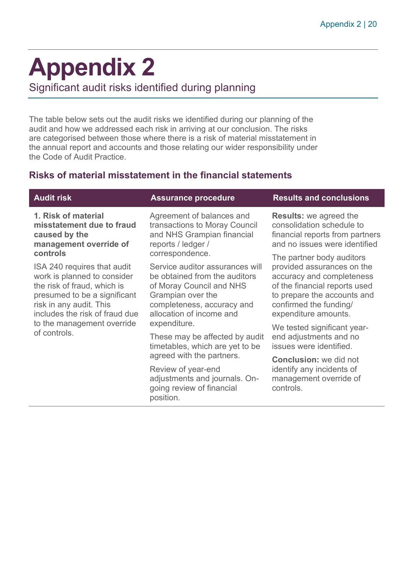## <span id="page-19-0"></span>**Appendix 2**

Significant audit risks identified during planning

The table below sets out the audit risks we identified during our planning of the audit and how we addressed each risk in arriving at our conclusion. The risks are categorised between those where there is a risk of material misstatement in the annual report and accounts and those relating our wider responsibility under the Code of Audit Practice.

#### **Risks of material misstatement in the financial statements**

| <b>Audit risk</b>                                                                                                                                                                      | <b>Assurance procedure</b>                                                                                                                                                  | <b>Results and conclusions</b>                                                                                                                                            |
|----------------------------------------------------------------------------------------------------------------------------------------------------------------------------------------|-----------------------------------------------------------------------------------------------------------------------------------------------------------------------------|---------------------------------------------------------------------------------------------------------------------------------------------------------------------------|
| 1. Risk of material<br>misstatement due to fraud<br>caused by the<br>management override of                                                                                            | Agreement of balances and<br>transactions to Moray Council<br>and NHS Grampian financial<br>reports / ledger /                                                              | <b>Results:</b> we agreed the<br>consolidation schedule to<br>financial reports from partners<br>and no issues were identified                                            |
| controls                                                                                                                                                                               | correspondence.                                                                                                                                                             | The partner body auditors                                                                                                                                                 |
| ISA 240 requires that audit<br>work is planned to consider<br>the risk of fraud, which is<br>presumed to be a significant<br>risk in any audit. This<br>includes the risk of fraud due | Service auditor assurances will<br>be obtained from the auditors<br>of Moray Council and NHS<br>Grampian over the<br>completeness, accuracy and<br>allocation of income and | provided assurances on the<br>accuracy and completeness<br>of the financial reports used<br>to prepare the accounts and<br>confirmed the funding/<br>expenditure amounts. |
| to the management override<br>of controls.                                                                                                                                             | expenditure.                                                                                                                                                                | We tested significant year-                                                                                                                                               |
|                                                                                                                                                                                        | These may be affected by audit<br>timetables, which are yet to be<br>agreed with the partners.                                                                              | end adjustments and no<br>issues were identified.                                                                                                                         |
|                                                                                                                                                                                        |                                                                                                                                                                             | <b>Conclusion:</b> we did not                                                                                                                                             |
|                                                                                                                                                                                        | Review of year-end<br>adjustments and journals. On-<br>going review of financial<br>position.                                                                               | identify any incidents of<br>management override of<br>controls.                                                                                                          |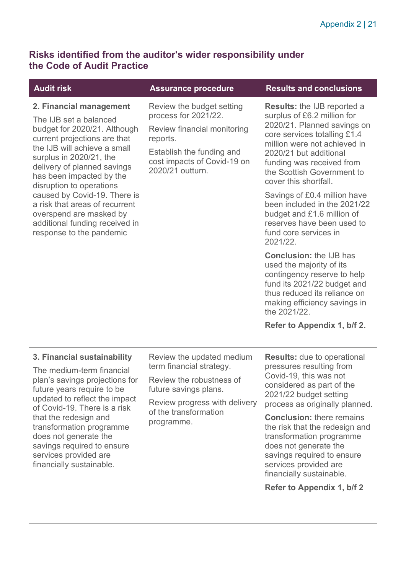#### **Risks identified from the auditor's wider responsibility under the Code of Audit Practice**

**2. Financial management** 

budget for 2020/21. Although current projections are that the IJB will achieve a small surplus in 2020/21, the delivery of planned savings has been impacted by the disruption to operations

caused by Covid-19. There is a risk that areas of recurrent overspend are masked by additional funding received in response to the pandemic

The IJB set a balanced

Review the budget setting process for 2021/22.

Review financial monitoring reports.

Establish the funding and cost impacts of Covid-19 on 2020/21 outturn.

#### **Assurance procedure Concults and conclusions**

**Results:** the IJB reported a surplus of £6.2 million for 2020/21. Planned savings on core services totalling £1.4 million were not achieved in 2020/21 but additional funding was received from the Scottish Government to cover this shortfall.

Savings of £0.4 million have been included in the 2021/22 budget and £1.6 million of reserves have been used to fund core services in 2021/22.

**Conclusion:** the IJB has used the majority of its contingency reserve to help fund its 2021/22 budget and thus reduced its reliance on making efficiency savings in the 2021/22.

#### **Refer to Appendix 1, b/f 2.**

#### **3. Financial sustainability**

The medium-term financial plan's savings projections for future years require to be updated to reflect the impact of Covid-19. There is a risk that the redesign and transformation programme does not generate the savings required to ensure services provided are financially sustainable.

Review the updated medium term financial strategy.

Review the robustness of future savings plans.

Review progress with delivery of the transformation programme.

**Results:** due to operational pressures resulting from Covid-19, this was not considered as part of the 2021/22 budget setting process as originally planned.

**Conclusion:** there remains the risk that the redesign and transformation programme does not generate the savings required to ensure services provided are financially sustainable.

#### **Refer to Appendix 1, b/f 2**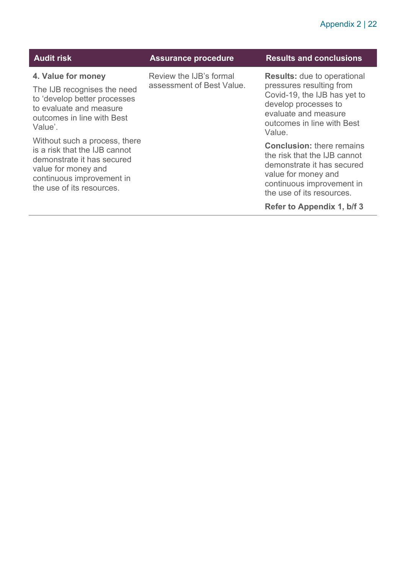| <b>Audit risk</b>                                                                                                                                                             | <b>Assurance procedure</b>                           | <b>Results and conclusions</b>                                                                                                                                                         |
|-------------------------------------------------------------------------------------------------------------------------------------------------------------------------------|------------------------------------------------------|----------------------------------------------------------------------------------------------------------------------------------------------------------------------------------------|
| 4. Value for money<br>The IJB recognises the need<br>to 'develop better processes<br>to evaluate and measure<br>outcomes in line with Best<br>Value'.                         | Review the IJB's formal<br>assessment of Best Value. | <b>Results:</b> due to operational<br>pressures resulting from<br>Covid-19, the IJB has yet to<br>develop processes to<br>evaluate and measure<br>outcomes in line with Best<br>Value. |
| Without such a process, there<br>is a risk that the IJB cannot<br>demonstrate it has secured<br>value for money and<br>continuous improvement in<br>the use of its resources. |                                                      | <b>Conclusion: there remains</b><br>the risk that the IJB cannot<br>demonstrate it has secured<br>value for money and<br>continuous improvement in<br>the use of its resources.        |
|                                                                                                                                                                               |                                                      | Refer to Appendix 1, b/f 3                                                                                                                                                             |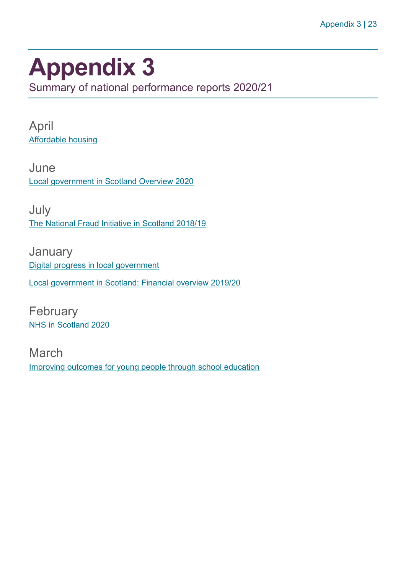### <span id="page-22-0"></span>**Appendix 3**

Summary of national performance reports 2020/21

April [Affordable housing](https://www.audit-scotland.gov.uk/report/affordable-housing) 

June [Local government in Scotland Overview 2020](https://www.audit-scotland.gov.uk/report/local-government-in-scotland-overview-2020) 

July [The National Fraud Initiative in Scotland 2018/19](https://www.audit-scotland.gov.uk/report/the-national-fraud-initiative-in-scotland-201819) 

January [Digital progress in local government](https://www.audit-scotland.gov.uk/report/digital-progress-in-local-government)  [Local government in Scotland: Financial overview 2019/20](https://www.audit-scotland.gov.uk/report/local-government-in-scotland-financial-overview-201920) 

**February** [NHS in Scotland 2020](https://www.audit-scotland.gov.uk/report/nhs-in-scotland-2020)

March [Improving outcomes for young people through school education](https://www.audit-scotland.gov.uk/report/improving-outcomes-for-young-people-through-school-education)